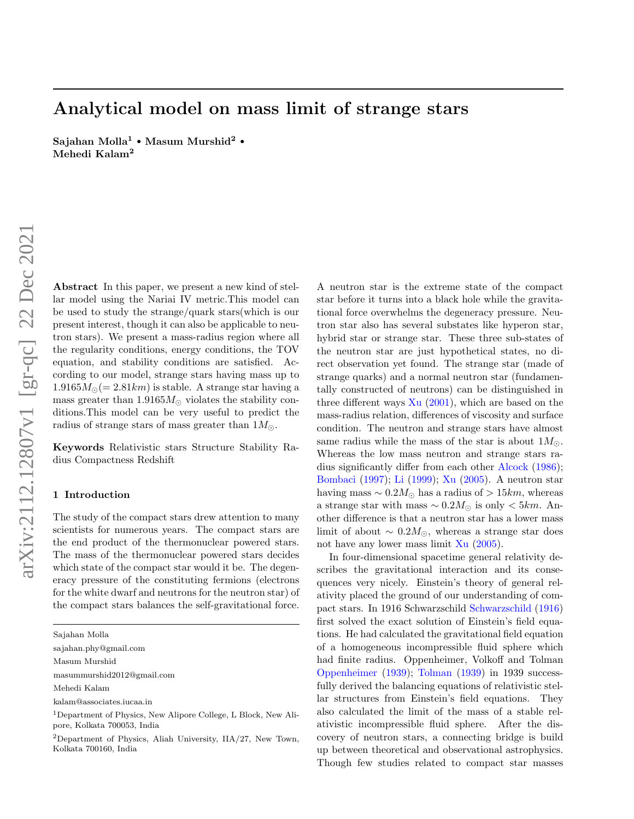# Analytical model on mass limit of strange stars

Sajahan Molla<sup>1</sup> • Masum Murshid<sup>2</sup> • Mehedi Kalam<sup>2</sup>

Abstract In this paper, we present a new kind of stellar model using the Nariai IV metric.This model can be used to study the strange/quark stars(which is our present interest, though it can also be applicable to neutron stars). We present a mass-radius region where all the regularity conditions, energy conditions, the TOV equation, and stability conditions are satisfied. According to our model, strange stars having mass up to  $1.9165M_{\odot} (= 2.81km)$  is stable. A strange star having a mass greater than  $1.9165M_{\odot}$  violates the stability conditions.This model can be very useful to predict the radius of strange stars of mass greater than  $1M_{\odot}$ .

Keywords Relativistic stars Structure Stability Radius Compactness Redshift

### 1 Introduction

The study of the compact stars drew attention to many scientists for numerous years. The compact stars are the end product of the thermonuclear powered stars. The mass of the thermonuclear powered stars decides which state of the compact star would it be. The degeneracy pressure of the constituting fermions (electrons for the white dwarf and neutrons for the neutron star) of the compact stars balances the self-gravitational force.

sajahan.phy@gmail.com

Masum Murshid

masummurshid2012@gmail.com

Mehedi Kalam

kalam@associates.iucaa.in

A neutron star is the extreme state of the compact star before it turns into a black hole while the gravitational force overwhelms the degeneracy pressure. Neutron star also has several substates like hyperon star, hybrid star or strange star. These three sub-states of the neutron star are just hypothetical states, no direct observation yet found. The strange star (made of strange quarks) and a normal neutron star (fundamentally constructed of neutrons) can be distinguished in three different ways  $Xu$  [\(2001\)](#page-10-0), which are based on the mass-radius relation, differences of viscosity and surface condition. The neutron and strange stars have almost same radius while the mass of the star is about  $1M_{\odot}$ . Whereas the low mass neutron and strange stars radius significantly differ from each other [Alcock](#page-10-1) [\(1986\)](#page-10-1); [Bombaci](#page-10-2) [\(1997\)](#page-10-2); [Li](#page-10-3) [\(1999\)](#page-10-3); [Xu](#page-10-4) [\(2005\)](#page-10-4). A neutron star having mass  $\sim 0.2 M_{\odot}$  has a radius of > 15km, whereas a strange star with mass  $\sim 0.2 M_{\odot}$  is only  $< 5 km$ . Another difference is that a neutron star has a lower mass limit of about  $\sim 0.2 M_{\odot}$ , whereas a strange star does not have any lower mass limit [Xu](#page-10-4) [\(2005\)](#page-10-4).

In four-dimensional spacetime general relativity describes the gravitational interaction and its consequences very nicely. Einstein's theory of general relativity placed the ground of our understanding of compact stars. In 1916 Schwarzschild [Schwarzschild](#page-10-5) [\(1916\)](#page-10-5) first solved the exact solution of Einstein's field equations. He had calculated the gravitational field equation of a homogeneous incompressible fluid sphere which had finite radius. Oppenheimer, Volkoff and Tolman [Oppenheimer](#page-10-6) [\(1939\)](#page-10-6); [Tolman](#page-10-7) [\(1939\)](#page-10-7) in 1939 successfully derived the balancing equations of relativistic stellar structures from Einstein's field equations. They also calculated the limit of the mass of a stable relativistic incompressible fluid sphere. After the discovery of neutron stars, a connecting bridge is build up between theoretical and observational astrophysics. Though few studies related to compact star masses

Sajahan Molla

<sup>1</sup>Department of Physics, New Alipore College, L Block, New Alipore, Kolkata 700053, India

<sup>2</sup>Department of Physics, Aliah University, IIA/27, New Town, Kolkata 700160, India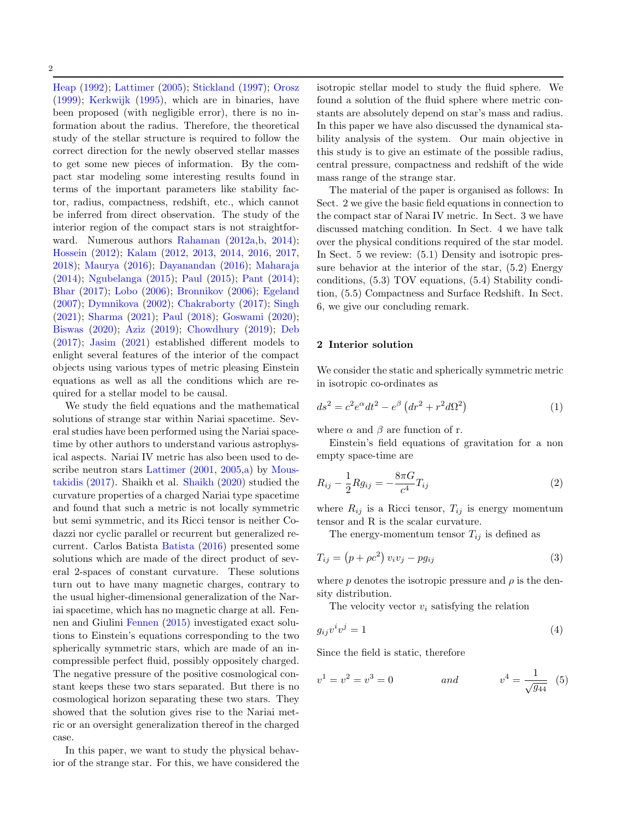[Heap](#page-10-8) [\(1992\)](#page-10-8); [Lattimer](#page-10-9) [\(2005\)](#page-10-9); [Stickland](#page-10-10) [\(1997\)](#page-10-10); [Orosz](#page-10-11) [\(1999\)](#page-10-11); [Kerkwijk](#page-10-12) [\(1995\)](#page-10-12), which are in binaries, have been proposed (with negligible error), there is no information about the radius. Therefore, the theoretical study of the stellar structure is required to follow the correct direction for the newly observed stellar masses to get some new pieces of information. By the compact star modeling some interesting results found in terms of the important parameters like stability factor, radius, compactness, redshift, etc., which cannot be inferred from direct observation. The study of the interior region of the compact stars is not straightforward. Numerous authors [Rahaman](#page-10-13) [\(2012a,](#page-10-13)[b,](#page-10-14) [2014\)](#page-10-15); [Hossein](#page-10-16) [\(2012\)](#page-10-16); [Kalam](#page-10-17) [\(2012,](#page-10-17) [2013,](#page-10-18) [2014,](#page-10-19) [2016,](#page-10-20) [2017,](#page-10-21) [2018\)](#page-10-22); [Maurya](#page-10-23) [\(2016\)](#page-10-23); [Dayanandan](#page-10-24) [\(2016\)](#page-10-24); [Maharaja](#page-10-25) [\(2014\)](#page-10-25); [Ngubelanga](#page-10-26) [\(2015\)](#page-10-26); [Paul](#page-10-27) [\(2015\)](#page-10-27); [Pant](#page-10-28) [\(2014\)](#page-10-28); [Bhar](#page-10-29) [\(2017\)](#page-10-29); [Lobo](#page-10-30) [\(2006\)](#page-10-30); [Bronnikov](#page-10-31) [\(2006\)](#page-10-31); [Egeland](#page-10-32) [\(2007\)](#page-10-32); [Dymnikova](#page-10-33) [\(2002\)](#page-10-33); [Chakraborty](#page-10-34) [\(2017\)](#page-10-34); [Singh](#page-10-35) [\(2021\)](#page-10-35); [Sharma](#page-10-36) [\(2021\)](#page-10-36); [Paul](#page-10-37) [\(2018\)](#page-10-37); [Goswami](#page-10-38) [\(2020\)](#page-10-38); [Biswas](#page-10-39) [\(2020\)](#page-10-39); [Aziz](#page-10-40) [\(2019\)](#page-10-40); [Chowdhury](#page-10-41) [\(2019\)](#page-10-41); [Deb](#page-10-42) [\(2017\)](#page-10-42); [Jasim](#page-10-43) [\(2021\)](#page-10-43) established different models to enlight several features of the interior of the compact objects using various types of metric pleasing Einstein equations as well as all the conditions which are required for a stellar model to be causal.

We study the field equations and the mathematical solutions of strange star within Nariai spacetime. Several studies have been performed using the Nariai spacetime by other authors to understand various astrophysical aspects. Nariai IV metric has also been used to describe neutron stars [Lattimer](#page-10-44) [\(2001,](#page-10-44) [2005,](#page-10-9)[a\)](#page-10-45) by [Mous](#page-10-46)[takidis](#page-10-46) [\(2017\)](#page-10-46). Shaikh et al. [Shaikh](#page-10-47) [\(2020\)](#page-10-47) studied the curvature properties of a charged Nariai type spacetime and found that such a metric is not locally symmetric but semi symmetric, and its Ricci tensor is neither Codazzi nor cyclic parallel or recurrent but generalized recurrent. Carlos Batista [Batista](#page-10-48) [\(2016\)](#page-10-48) presented some solutions which are made of the direct product of several 2-spaces of constant curvature. These solutions turn out to have many magnetic charges, contrary to the usual higher-dimensional generalization of the Nariai spacetime, which has no magnetic charge at all. Fennen and Giulini [Fennen](#page-10-49) [\(2015\)](#page-10-49) investigated exact solutions to Einstein's equations corresponding to the two spherically symmetric stars, which are made of an incompressible perfect fluid, possibly oppositely charged. The negative pressure of the positive cosmological constant keeps these two stars separated. But there is no cosmological horizon separating these two stars. They showed that the solution gives rise to the Nariai metric or an oversight generalization thereof in the charged case.

In this paper, we want to study the physical behavior of the strange star. For this, we have considered the isotropic stellar model to study the fluid sphere. We found a solution of the fluid sphere where metric constants are absolutely depend on star's mass and radius. In this paper we have also discussed the dynamical stability analysis of the system. Our main objective in this study is to give an estimate of the possible radius, central pressure, compactness and redshift of the wide mass range of the strange star.

The material of the paper is organised as follows: In Sect. 2 we give the basic field equations in connection to the compact star of Narai IV metric. In Sect. 3 we have discussed matching condition. In Sect. 4 we have talk over the physical conditions required of the star model. In Sect. 5 we review: (5.1) Density and isotropic pressure behavior at the interior of the star, (5.2) Energy conditions, (5.3) TOV equations, (5.4) Stability condition, (5.5) Compactness and Surface Redshift. In Sect. 6, we give our concluding remark.

## 2 Interior solution

We consider the static and spherically symmetric metric in isotropic co-ordinates as

<span id="page-1-1"></span>
$$
ds^2 = c^2 e^{\alpha} dt^2 - e^{\beta} \left( dr^2 + r^2 d\Omega^2 \right) \tag{1}
$$

where  $\alpha$  and  $\beta$  are function of r.

Einstein's field equations of gravitation for a non empty space-time are

<span id="page-1-0"></span>
$$
R_{ij} - \frac{1}{2} R g_{ij} = -\frac{8\pi G}{c^4} T_{ij}
$$
 (2)

where  $R_{ij}$  is a Ricci tensor,  $T_{ij}$  is energy momentum tensor and R is the scalar curvature.

The energy-momentum tensor  $T_{ij}$  is defined as

$$
T_{ij} = (p + \rho c^2) v_i v_j - p g_{ij}
$$
\n
$$
\tag{3}
$$

where  $p$  denotes the isotropic pressure and  $\rho$  is the density distribution.

The velocity vector  $v_i$  satisfying the relation

$$
g_{ij}v^iv^j = 1\tag{4}
$$

Since the field is static, therefore

$$
v^1 = v^2 = v^3 = 0 \qquad \text{and} \qquad v^4 = \frac{1}{\sqrt{g_{44}}} \tag{5}
$$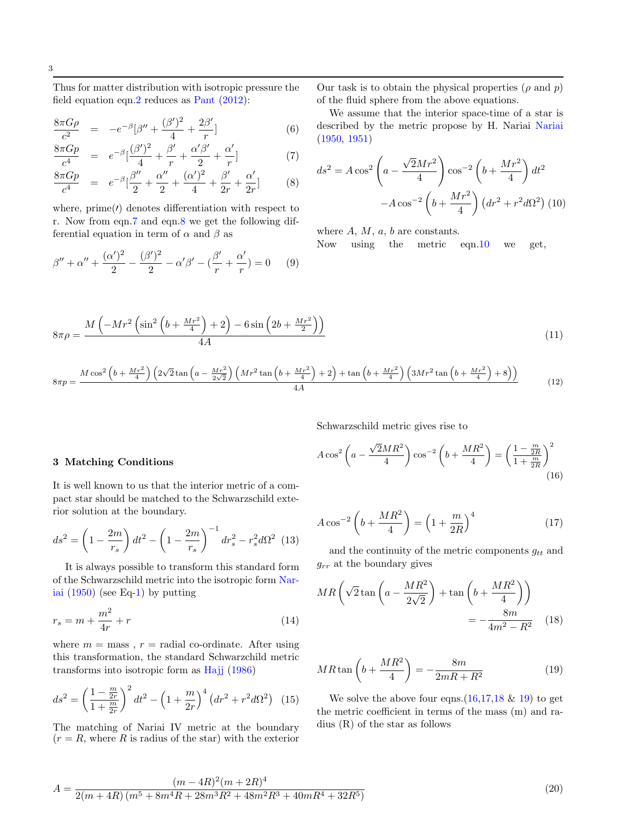Thus for matter distribution with isotropic pressure the field equation eqn[.2](#page-1-0) reduces as [Pant](#page-10-50) [\(2012\)](#page-10-50):

<span id="page-2-0"></span>
$$
\frac{8\pi G\rho}{c^2} = -e^{-\beta}[\beta'' + \frac{(\beta')^2}{4} + \frac{2\beta'}{r}]
$$
\n(6)

$$
\frac{8\pi Gp}{c^4} = e^{-\beta} \left[\frac{(\beta')^2}{4} + \frac{\beta'}{r} + \frac{\alpha'\beta'}{2} + \frac{\alpha'}{r}\right] \tag{7}
$$

$$
\frac{8\pi Gp}{c^4} = e^{-\beta} \left[\frac{\beta''}{2} + \frac{\alpha''}{2} + \frac{(\alpha')^2}{4} + \frac{\beta'}{2r} + \frac{\alpha'}{2r}\right] \tag{8}
$$

where,  $\text{prime}(t)$  denotes differentiation with respect to r. Now from eqn[.7](#page-2-0) and eqn[.8](#page-2-0) we get the following differential equation in term of  $\alpha$  and  $\beta$  as

$$
\beta'' + \alpha'' + \frac{(\alpha')^2}{2} - \frac{(\beta')^2}{2} - \alpha'\beta' - (\frac{\beta'}{r} + \frac{\alpha'}{r}) = 0 \tag{9}
$$

Our task is to obtain the physical properties  $(\rho \text{ and } p)$ of the fluid sphere from the above equations.

We assume that the interior space-time of a star is described by the metric propose by H. Nariai [Nariai](#page-10-51) [\(1950,](#page-10-51) [1951\)](#page-10-52)

<span id="page-2-1"></span>
$$
ds^{2} = A \cos^{2} \left( a - \frac{\sqrt{2}Mr^{2}}{4} \right) \cos^{-2} \left( b + \frac{Mr^{2}}{4} \right) dt^{2}
$$

$$
-A \cos^{-2} \left( b + \frac{Mr^{2}}{4} \right) \left( dr^{2} + r^{2} d\Omega^{2} \right) (10)
$$

where  $A, M, a, b$  are constants.

Now using the metric eqn[.10](#page-2-1) we get,

<span id="page-2-6"></span>
$$
8\pi\rho = \frac{M\left(-Mr^2\left(\sin^2\left(b + \frac{Mr^2}{4}\right) + 2\right) - 6\sin\left(2b + \frac{Mr^2}{2}\right)\right)}{4A} \tag{11}
$$

$$
8\pi p = \frac{M\cos^2\left(b + \frac{Mr^2}{4}\right)\left(2\sqrt{2}\tan\left(a - \frac{Mr^2}{2\sqrt{2}}\right)\left(Mr^2\tan\left(b + \frac{Mr^2}{4}\right) + 2\right) + \tan\left(b + \frac{Mr^2}{4}\right)\left(3Mr^2\tan\left(b + \frac{Mr^2}{4}\right) + 8\right)\right)}{4A} \tag{12}
$$

Schwarzschild metric gives rise to

## 3 Matching Conditions

It is well known to us that the interior metric of a compact star should be matched to the Schwarzschild exterior solution at the boundary.

$$
ds^{2} = \left(1 - \frac{2m}{r_{s}}\right)dt^{2} - \left(1 - \frac{2m}{r_{s}}\right)^{-1}dr_{s}^{2} - r_{s}^{2}d\Omega^{2} \tag{13}
$$

It is always possible to transform this standard form of the Schwarzschild metric into the isotropic form [Nar](#page-10-51)[iai](#page-10-51)  $(1950)$  (see Eq[-1\)](#page-1-1) by putting

$$
r_s = m + \frac{m^2}{4r} + r \tag{14}
$$

where  $m = \text{mass}$ ,  $r = \text{radial co-ordinate}$ . After using this transformation, the standard Schwarzchild metric transforms into isotropic form as [Hajj](#page-10-53) [\(1986\)](#page-10-53)

$$
ds^{2} = \left(\frac{1 - \frac{m}{2r}}{1 + \frac{m}{2r}}\right)^{2} dt^{2} - \left(1 + \frac{m}{2r}\right)^{4} \left(dr^{2} + r^{2} d\Omega^{2}\right) (15)
$$

The matching of Nariai IV metric at the boundary  $(r = R,$  where R is radius of the star) with the exterior

<span id="page-2-2"></span>
$$
A\cos^2\left(a - \frac{\sqrt{2}MR^2}{4}\right)\cos^{-2}\left(b + \frac{MR^2}{4}\right) = \left(\frac{1 - \frac{m}{2R}}{1 + \frac{m}{2R}}\right)^2\tag{16}
$$

<span id="page-2-3"></span>
$$
A\cos^{-2}\left(b + \frac{MR^2}{4}\right) = \left(1 + \frac{m}{2R}\right)^4\tag{17}
$$

and the continuity of the metric components  $g_{tt}$  and  $g_{rr}$  at the boundary gives

<span id="page-2-4"></span>
$$
MR\left(\sqrt{2}\tan\left(a - \frac{MR^2}{2\sqrt{2}}\right) + \tan\left(b + \frac{MR^2}{4}\right)\right)
$$

$$
= -\frac{8m}{4m^2 - R^2} \quad (18)
$$

<span id="page-2-5"></span>
$$
MR\tan\left(b + \frac{MR^2}{4}\right) = -\frac{8m}{2mR + R^2} \tag{19}
$$

We solve the above four eqns. $(16,17,18 \& 19)$  $(16,17,18 \& 19)$  $(16,17,18 \& 19)$  $(16,17,18 \& 19)$  $(16,17,18 \& 19)$  to get the metric coefficient in terms of the mass (m) and radius (R) of the star as follows

$$
A = \frac{(m - 4R)^2(m + 2R)^4}{2(m + 4R)(m^5 + 8m^4R + 28m^3R^2 + 48m^2R^3 + 40mR^4 + 32R^5)}
$$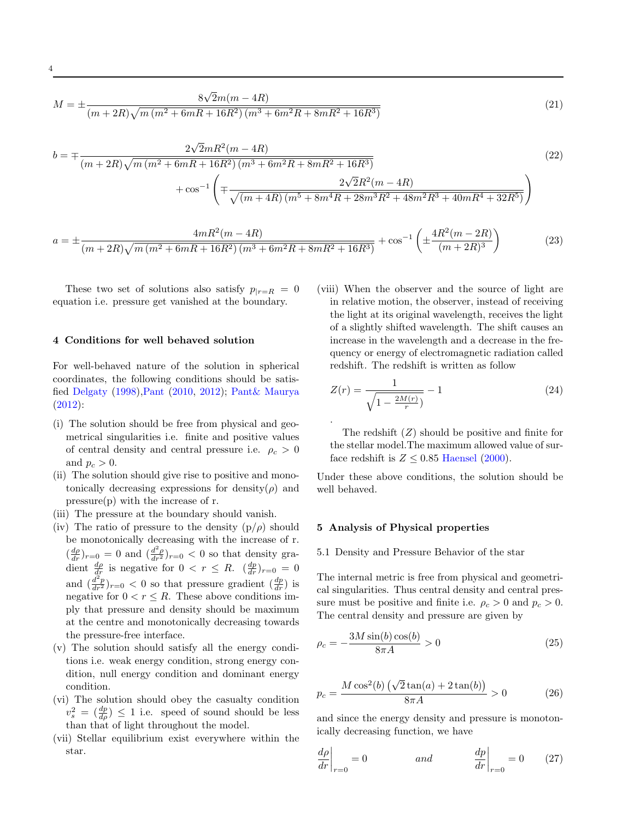$$
M = \pm \frac{8\sqrt{2}m(m - 4R)}{(m + 2R)\sqrt{m(m^2 + 6mR + 16R^2)(m^3 + 6m^2R + 8mR^2 + 16R^3)}}
$$
(21)

$$
b = \mp \frac{2\sqrt{2}mR^2(m - 4R)}{(m + 2R)\sqrt{m(m^2 + 6mR + 16R^2)(m^3 + 6m^2R + 8mR^2 + 16R^3)}} + \cos^{-1}\left(\mp \frac{2\sqrt{2}R^2(m - 4R)}{\sqrt{(m + 4R)(m^5 + 8m^4R + 28m^3R^2 + 48m^2R^3 + 40mR^4 + 32R^5)}}\right)
$$
\n(22)

$$
a = \pm \frac{4mR^2(m - 4R)}{(m + 2R)\sqrt{m(m^2 + 6mR + 16R^2)(m^3 + 6m^2R + 8mR^2 + 16R^3)}} + \cos^{-1}\left(\pm \frac{4R^2(m - 2R)}{(m + 2R)^3}\right)
$$
(23)

.

These two set of solutions also satisfy  $p_{r=R} = 0$ equation i.e. pressure get vanished at the boundary.

## 4 Conditions for well behaved solution

4

For well-behaved nature of the solution in spherical coordinates, the following conditions should be satisfied [Delgaty](#page-10-54) [\(1998\)](#page-10-54)[,Pant](#page-10-55) [\(2010,](#page-10-55) [2012\)](#page-10-50); [Pant& Maurya](#page-10-56) [\(2012\)](#page-10-56):

- (i) The solution should be free from physical and geometrical singularities i.e. finite and positive values of central density and central pressure i.e.  $\rho_c > 0$ and  $p_c > 0$ .
- (ii) The solution should give rise to positive and monotonically decreasing expressions for density( $\rho$ ) and pressure(p) with the increase of r.
- (iii) The pressure at the boundary should vanish.
- (iv) The ratio of pressure to the density  $(p/\rho)$  should be monotonically decreasing with the increase of r.  $\left(\frac{d\rho}{dr}\right)_{r=0} = 0$  and  $\left(\frac{d^2\rho}{dr^2}\right)_{r=0} < 0$  so that density gradient  $\frac{d\rho}{dr}$  is negative for  $0 < r \leq R$ .  $(\frac{dp}{dr})_{r=0} = 0$ and  $\left(\frac{d^2p}{dr^2}\right)_{r=0} < 0$  so that pressure gradient  $\left(\frac{dp}{dr}\right)$  is negative for  $0 < r \leq R$ . These above conditions imply that pressure and density should be maximum at the centre and monotonically decreasing towards the pressure-free interface.
- (v) The solution should satisfy all the energy conditions i.e. weak energy condition, strong energy condition, null energy condition and dominant energy condition.
- (vi) The solution should obey the casualty condition  $v_s^2 = \left(\frac{dp}{d\rho}\right) \leq 1$  i.e. speed of sound should be less than that of light throughout the model.
- (vii) Stellar equilibrium exist everywhere within the star.

(viii) When the observer and the source of light are in relative motion, the observer, instead of receiving the light at its original wavelength, receives the light of a slightly shifted wavelength. The shift causes an increase in the wavelength and a decrease in the frequency or energy of electromagnetic radiation called redshift. The redshift is written as follow

$$
Z(r) = \frac{1}{\sqrt{1 - \frac{2M(r)}{r}} - 1}
$$
\n(24)

The redshift  $(Z)$  should be positive and finite for the stellar model.The maximum allowed value of surface redshift is  $Z \leq 0.85$  [Haensel](#page-11-0) [\(2000\)](#page-11-0).

Under these above conditions, the solution should be well behaved.

#### 5 Analysis of Physical properties

## 5.1 Density and Pressure Behavior of the star

The internal metric is free from physical and geometrical singularities. Thus central density and central pressure must be positive and finite i.e.  $\rho_c > 0$  and  $p_c > 0$ . The central density and pressure are given by

<span id="page-3-0"></span>
$$
\rho_c = -\frac{3M\sin(b)\cos(b)}{8\pi A} > 0\tag{25}
$$

<span id="page-3-1"></span>
$$
p_c = \frac{M\cos^2(b)\left(\sqrt{2}\tan(a) + 2\tan(b)\right)}{8\pi A} > 0
$$
 (26)

and since the energy density and pressure is monotonically decreasing function, we have

<span id="page-3-2"></span>
$$
\left. \frac{d\rho}{dr} \right|_{r=0} = 0 \qquad \qquad and \qquad \left. \frac{dp}{dr} \right|_{r=0} = 0 \qquad (27)
$$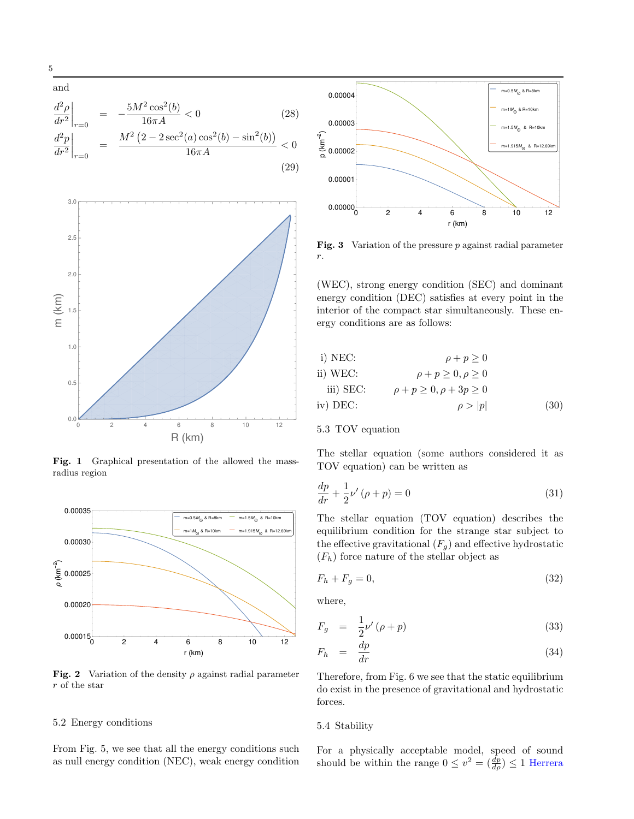<span id="page-4-0"></span>
$$
\left. \frac{d^2 \rho}{dr^2} \right|_{r=0} = -\frac{5M^2 \cos^2(b)}{16\pi A} < 0 \tag{28}
$$
\n
$$
\left. \frac{d^2 p}{dr^2} \right|_{r=0} = \left. \frac{M^2 \left(2 - 2 \sec^2(a) \cos^2(b) - \sin^2(b)\right)}{16\pi A} < 0 \tag{29}
$$



<span id="page-4-1"></span>Fig. 1 Graphical presentation of the allowed the massradius region



<span id="page-4-2"></span>Fig. 2 Variation of the density  $\rho$  against radial parameter r of the star

## 5.2 Energy conditions

From Fig. 5, we see that all the energy conditions such as null energy condition (NEC), weak energy condition



<span id="page-4-3"></span>Fig. 3 Variation of the pressure  $p$  against radial parameter r.

(WEC), strong energy condition (SEC) and dominant energy condition (DEC) satisfies at every point in the interior of the compact star simultaneously. These energy conditions are as follows:

i) NEC:  
\nii) WEC:  
\n
$$
\rho + p \ge 0
$$
\n
$$
\rho + p > 0, \rho > 0
$$

$$
\rho + p \ge 0, \rho + 3p \ge 0
$$

iv) DEC:  $\rho > |p|$  (30)

## 5.3 TOV equation

The stellar equation (some authors considered it as TOV equation) can be written as

$$
\frac{dp}{dr} + \frac{1}{2}\nu'(\rho + p) = 0\tag{31}
$$

The stellar equation (TOV equation) describes the equilibrium condition for the strange star subject to the effective gravitational  $(F_g)$  and effective hydrostatic  $(F_h)$  force nature of the stellar object as

$$
F_h + F_g = 0,\t\t(32)
$$

where,

$$
F_g = \frac{1}{2}\nu'(\rho + p) \tag{33}
$$

$$
F_h = \frac{dp}{dr} \tag{34}
$$

Therefore, from Fig. 6 we see that the static equilibrium do exist in the presence of gravitational and hydrostatic forces.

## 5.4 Stability

For a physically acceptable model, speed of sound should be within the range  $0 \le v^2 = \left(\frac{dp}{d\rho}\right) \le 1$  [Herrera](#page-10-57)

and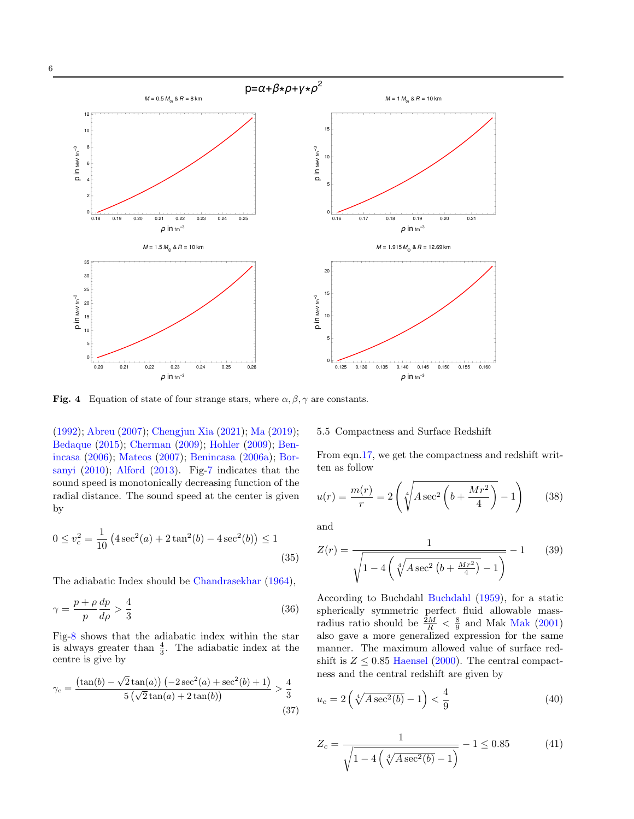

Fig. 4 Equation of state of four strange stars, where  $\alpha, \beta, \gamma$  are constants.

[\(1992\)](#page-10-57); [Abreu](#page-10-58) [\(2007\)](#page-10-58); [Chengjun Xia](#page-10-59) [\(2021\)](#page-10-59); [Ma](#page-10-60) [\(2019\)](#page-10-60); [Bedaque](#page-10-61) [\(2015\)](#page-10-61); [Cherman](#page-10-62) [\(2009\)](#page-10-62); [Hohler](#page-10-63) [\(2009\)](#page-10-63); [Ben](#page-10-64)[incasa](#page-10-64) [\(2006\)](#page-10-64); [Mateos](#page-10-65) [\(2007\)](#page-10-65); [Benincasa](#page-10-66) [\(2006a\)](#page-10-66); [Bor](#page-10-67)[sanyi](#page-10-67) [\(2010\)](#page-10-67); [Alford](#page-10-68) [\(2013\)](#page-10-68). Fig[-7](#page-9-0) indicates that the sound speed is monotonically decreasing function of the radial distance. The sound speed at the center is given by

6

<span id="page-5-0"></span>
$$
0 \le v_c^2 = \frac{1}{10} \left( 4 \sec^2(a) + 2 \tan^2(b) - 4 \sec^2(b) \right) \le 1
$$
\n(35)

The adiabatic Index should be [Chandrasekhar](#page-11-1) [\(1964\)](#page-11-1),

$$
\gamma = \frac{p + \rho}{p} \frac{dp}{d\rho} > \frac{4}{3} \tag{36}
$$

Fig[-8](#page-9-1) shows that the adiabatic index within the star is always greater than  $\frac{4}{3}$ . The adiabatic index at the centre is give by

<span id="page-5-1"></span>
$$
\gamma_c = \frac{\left(\tan(b) - \sqrt{2}\tan(a)\right)\left(-2\sec^2(a) + \sec^2(b) + 1\right)}{5\left(\sqrt{2}\tan(a) + 2\tan(b)\right)} > \frac{4}{3}
$$
\n(37)

## 5.5 Compactness and Surface Redshift

<span id="page-5-4"></span>From eqn[.17,](#page-2-3) we get the compactness and redshift written as follow

$$
u(r) = \frac{m(r)}{r} = 2\left(\sqrt[4]{A\sec^2\left(b + \frac{Mr^2}{4}\right)} - 1\right) \tag{38}
$$

<span id="page-5-5"></span>and

$$
Z(r) = \frac{1}{\sqrt{1 - 4\left(\sqrt[4]{A\sec^2\left(b + \frac{Mr^2}{4}\right)} - 1\right)}} - 1 \qquad (39)
$$

According to Buchdahl [Buchdahl](#page-11-2) [\(1959\)](#page-11-2), for a static spherically symmetric perfect fluid allowable massradius ratio should be  $\frac{2M}{R} < \frac{8}{9}$  and [Mak](#page-11-3) Mak [\(2001\)](#page-11-3) also gave a more generalized expression for the same manner. The maximum allowed value of surface redshift is  $Z \leq 0.85$  [Haensel](#page-11-0) [\(2000\)](#page-11-0). The central compactness and the central redshift are given by

<span id="page-5-2"></span>
$$
u_c = 2\left(\sqrt[4]{A\sec^2(b)} - 1\right) < \frac{4}{9} \tag{40}
$$

<span id="page-5-3"></span>
$$
Z_c = \frac{1}{\sqrt{1 - 4\left(\sqrt[4]{A\sec^2(b)} - 1\right)}} - 1 \le 0.85\tag{41}
$$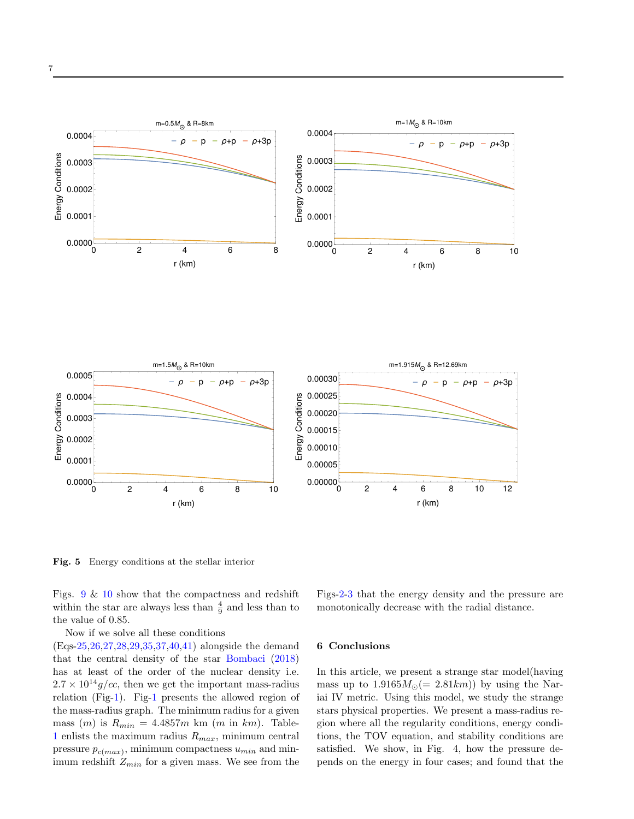

Fig. 5 Energy conditions at the stellar interior

Figs.  $9 \& 10$  $9 \& 10$  $9 \& 10$  show that the compactness and redshift within the star are always less than  $\frac{4}{9}$  and less than to the value of 0.85.

Now if we solve all these conditions

(Eqs[-25,](#page-3-0)[26,](#page-3-1)[27,](#page-3-2)[28,29,](#page-4-0)[35,](#page-5-0)[37,](#page-5-1)[40](#page-5-2)[,41\)](#page-5-3) alongside the demand that the central density of the star [Bombaci](#page-11-4) [\(2018\)](#page-11-4) has at least of the order of the nuclear density i.e.  $2.7 \times 10^{14}$  g/cc, then we get the important mass-radius relation (Fig[-1\)](#page-4-1). Fig[-1](#page-4-1) presents the allowed region of the mass-radius graph. The minimum radius for a given mass  $(m)$  is  $R_{min} = 4.4857m \text{ km } (m \text{ in } km)$ . Table-[1](#page-8-0) enlists the maximum radius  $R_{max}$ , minimum central pressure  $p_{c(max)}$ , minimum compactness  $u_{min}$  and minimum redshift  $Z_{min}$  for a given mass. We see from the Figs[-2-](#page-4-2)[3](#page-4-3) that the energy density and the pressure are monotonically decrease with the radial distance.

### 6 Conclusions

In this article, we present a strange star model(having mass up to  $1.9165M_{\odot} (= 2.81km)$  by using the Nariai IV metric. Using this model, we study the strange stars physical properties. We present a mass-radius region where all the regularity conditions, energy conditions, the TOV equation, and stability conditions are satisfied. We show, in Fig. 4, how the pressure depends on the energy in four cases; and found that the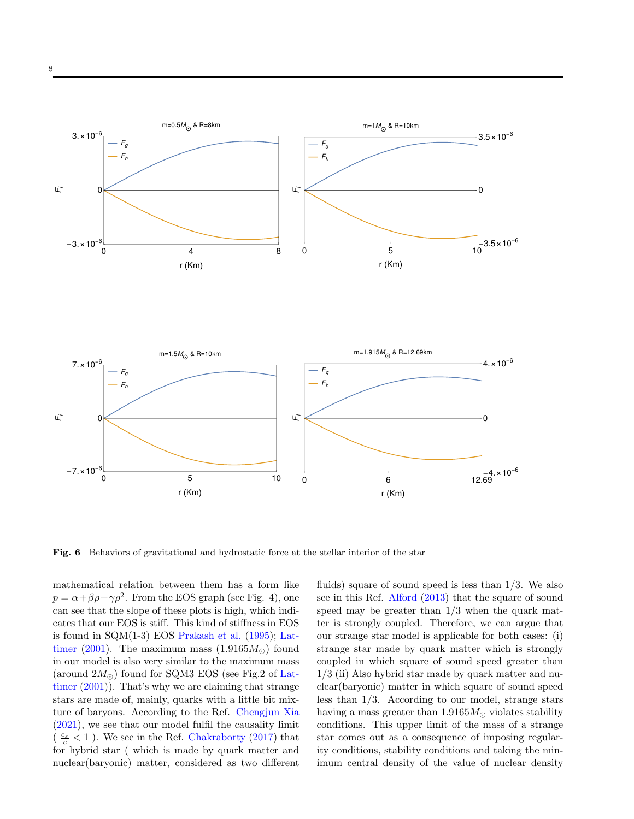



Fig. 6 Behaviors of gravitational and hydrostatic force at the stellar interior of the star

mathematical relation between them has a form like  $p = \alpha + \beta \rho + \gamma \rho^2$ . From the EOS graph (see Fig. 4), one can see that the slope of these plots is high, which indicates that our EOS is stiff. This kind of stiffness in EOS is found in  $SQM(1-3)$  EOS [Prakash et al.](#page-10-69) [\(1995\)](#page-10-69); [Lat](#page-10-44)[timer](#page-10-44) [\(2001\)](#page-10-44). The maximum mass  $(1.9165M_{\odot})$  found in our model is also very similar to the maximum mass (around  $2M_{\odot}$ ) found for SQM3 EOS (see Fig.2 of [Lat](#page-10-44)[timer](#page-10-44) [\(2001\)](#page-10-44)). That's why we are claiming that strange stars are made of, mainly, quarks with a little bit mixture of baryons. According to the Ref. [Chengjun Xia](#page-10-59) [\(2021\)](#page-10-59), we see that our model fulfil the causality limit (  $\frac{c_s}{c} < 1$  ). We see in the Ref. [Chakraborty](#page-10-34) [\(2017\)](#page-10-34) that for hybrid star ( which is made by quark matter and nuclear(baryonic) matter, considered as two different

fluids) square of sound speed is less than  $1/3$ . We also see in this Ref. [Alford](#page-10-68) [\(2013\)](#page-10-68) that the square of sound speed may be greater than  $1/3$  when the quark matter is strongly coupled. Therefore, we can argue that our strange star model is applicable for both cases: (i) strange star made by quark matter which is strongly coupled in which square of sound speed greater than 1/3 (ii) Also hybrid star made by quark matter and nuclear(baryonic) matter in which square of sound speed less than 1/3. According to our model, strange stars having a mass greater than  $1.9165M_{\odot}$  violates stability conditions. This upper limit of the mass of a strange star comes out as a consequence of imposing regularity conditions, stability conditions and taking the minimum central density of the value of nuclear density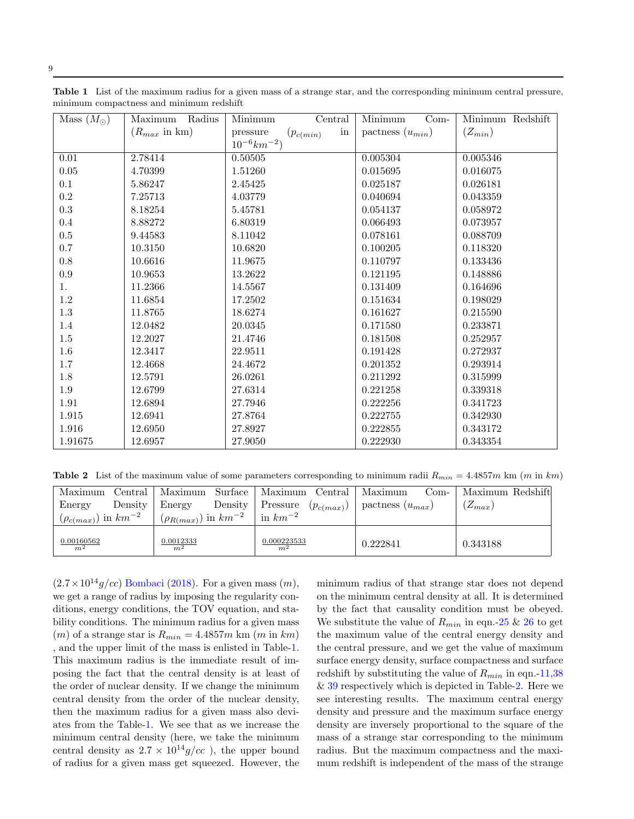| Mass $(M_{\odot})$ | Maximum Radius    | Minimum<br>Central              | Minimum<br>$Com-$    | Minimum Redshift |
|--------------------|-------------------|---------------------------------|----------------------|------------------|
|                    | $(R_{max}$ in km) | in<br>pressure<br>$(p_{c(min)}$ | pactness $(u_{min})$ | $(Z_{min})$      |
|                    |                   | $10^{-6}km^{-2}$                |                      |                  |
| $0.01\,$           | 2.78414           | 0.50505                         | 0.005304             | 0.005346         |
| $0.05\,$           | 4.70399           | 1.51260                         | 0.015695             | 0.016075         |
| 0.1                | 5.86247           | 2.45425                         | 0.025187             | 0.026181         |
| $\rm 0.2$          | 7.25713           | 4.03779                         | 0.040694             | 0.043359         |
| $\rm 0.3$          | 8.18254           | 5.45781                         | 0.054137             | 0.058972         |
| $0.4\,$            | 8.88272           | 6.80319                         | 0.066493             | 0.073957         |
| $0.5\,$            | 9.44583           | 8.11042                         | 0.078161             | 0.088709         |
| $0.7\,$            | 10.3150           | 10.6820                         | 0.100205             | 0.118320         |
| $0.8\,$            | 10.6616           | 11.9675                         | 0.110797             | 0.133436         |
| $0.9\,$            | 10.9653           | 13.2622                         | 0.121195             | 0.148886         |
| 1.                 | 11.2366           | 14.5567                         | 0.131409             | 0.164696         |
| $1.2\,$            | 11.6854           | 17.2502                         | 0.151634             | 0.198029         |
| $1.3\,$            | 11.8765           | 18.6274                         | 0.161627             | 0.215590         |
| 1.4                | 12.0482           | 20.0345                         | 0.171580             | 0.233871         |
| $1.5\,$            | 12.2027           | 21.4746                         | 0.181508             | 0.252957         |
| $1.6\,$            | 12.3417           | 22.9511                         | 0.191428             | 0.272937         |
| 1.7                | 12.4668           | 24.4672                         | 0.201352             | 0.293914         |
| $1.8\,$            | 12.5791           | 26.0261                         | 0.211292             | 0.315999         |
| 1.9                | 12.6799           | 27.6314                         | 0.221258             | 0.339318         |
| 1.91               | 12.6894           | 27.7946                         | 0.222256             | 0.341723         |
| 1.915              | 12.6941           | 27.8764                         | 0.222755             | 0.342930         |
| 1.916              | 12.6950           | 27.8927                         | 0.222855             | 0.343172         |
| 1.91675            | 12.6957           | 27.9050                         | 0.222930             | 0.343354         |

<span id="page-8-0"></span>Table 1 List of the maximum radius for a given mass of a strange star, and the corresponding minimum central pressure, minimum compactness and minimum redshift

<span id="page-8-1"></span>**Table 2** List of the maximum value of some parameters corresponding to minimum radii  $R_{min} = 4.4857m \text{ km (m in } km)$ 

| Maximum                        |                                | Central   Maximum Surface   Maximum Central   Maximum | $Com-$               | Maximum Redshift |
|--------------------------------|--------------------------------|-------------------------------------------------------|----------------------|------------------|
| Density<br>Energy              | Density  <br>Energy            | Pressure<br>$(p_{c(max)})$                            | pactness $(u_{max})$ | $Z_{max}$        |
| $(\rho_{c(max)})$ in $km^{-2}$ | $(\rho_{R(max)})$ in $km^{-2}$ | in $km^{-2}$                                          |                      |                  |
| 0.00160562<br>m <sup>2</sup>   | 0.0012333<br>m <sup>2</sup>    | 0.000223533<br>m <sup>2</sup>                         | 0.222841             | 0.343188         |

 $(2.7\times10^{14}g/cc)$  [Bombaci](#page-11-4) [\(2018\)](#page-11-4). For a given mass  $(m)$ , we get a range of radius by imposing the regularity conditions, energy conditions, the TOV equation, and stability conditions. The minimum radius for a given mass  $(m)$  of a strange star is  $R_{min} = 4.4857m \text{ km } (m \text{ in } km)$ , and the upper limit of the mass is enlisted in Table[-1.](#page-8-0) This maximum radius is the immediate result of imposing the fact that the central density is at least of the order of nuclear density. If we change the minimum central density from the order of the nuclear density, then the maximum radius for a given mass also deviates from the Table[-1.](#page-8-0) We see that as we increase the minimum central density (here, we take the minimum central density as  $2.7 \times 10^{14} g/cc$ ), the upper bound of radius for a given mass get squeezed. However, the

minimum radius of that strange star does not depend on the minimum central density at all. It is determined by the fact that causality condition must be obeyed. We substitute the value of  $R_{min}$  in eqn.[-25](#page-3-0) & [26](#page-3-1) to get the maximum value of the central energy density and the central pressure, and we get the value of maximum surface energy density, surface compactness and surface redshift by substituting the value of  $R_{min}$  in eqn.[-11](#page-2-6)[,38](#page-5-4)  $&$  [39](#page-5-5) respectively which is depicted in Table[-2.](#page-8-1) Here we see interesting results. The maximum central energy density and pressure and the maximum surface energy density are inversely proportional to the square of the mass of a strange star corresponding to the minimum radius. But the maximum compactness and the maximum redshift is independent of the mass of the strange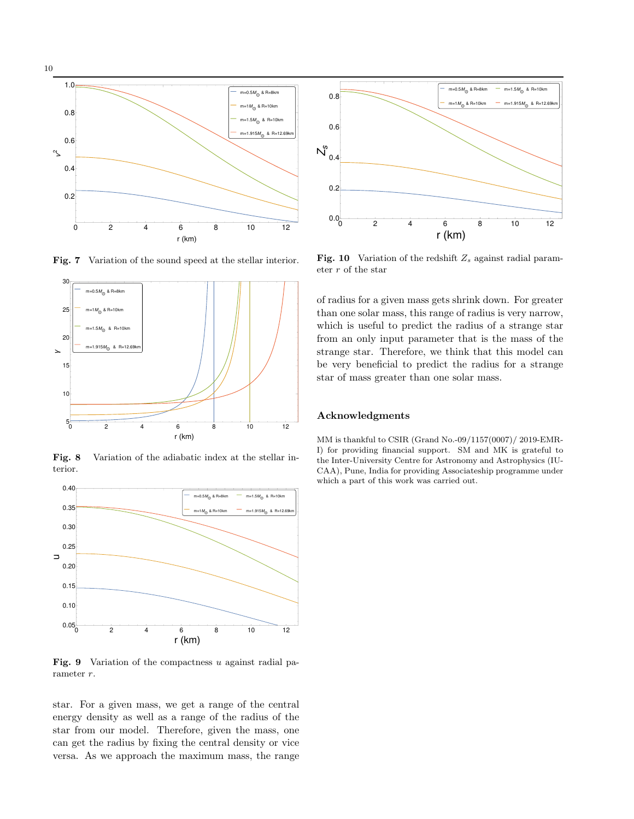

<span id="page-9-0"></span>Fig. 7 Variation of the sound speed at the stellar interior.



<span id="page-9-1"></span>Fig. 8 Variation of the adiabatic index at the stellar interior.



<span id="page-9-2"></span>Fig. 9 Variation of the compactness  $u$  against radial parameter r.

star. For a given mass, we get a range of the central energy density as well as a range of the radius of the star from our model. Therefore, given the mass, one can get the radius by fixing the central density or vice versa. As we approach the maximum mass, the range



<span id="page-9-3"></span>Fig. 10 Variation of the redshift  $Z_s$  against radial parameter r of the star

of radius for a given mass gets shrink down. For greater than one solar mass, this range of radius is very narrow, which is useful to predict the radius of a strange star from an only input parameter that is the mass of the strange star. Therefore, we think that this model can be very beneficial to predict the radius for a strange star of mass greater than one solar mass.

### Acknowledgments

MM is thankful to CSIR (Grand No.-09/1157(0007)/ 2019-EMR-I) for providing financial support. SM and MK is grateful to the Inter-University Centre for Astronomy and Astrophysics (IU-CAA), Pune, India for providing Associateship programme under which a part of this work was carried out.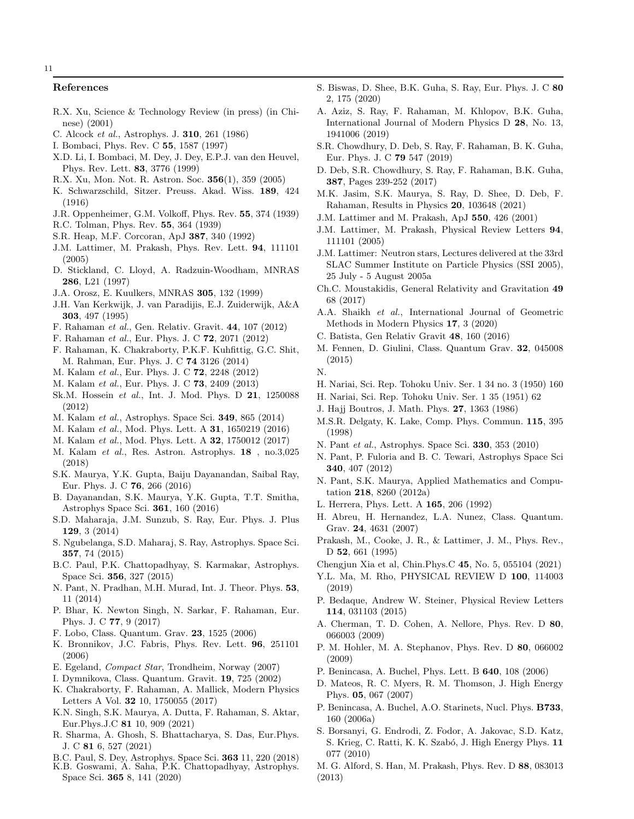### References

- <span id="page-10-0"></span>R.X. Xu, Science & Technology Review (in press) (in Chinese) (2001)
- <span id="page-10-1"></span>C. Alcock et al., Astrophys. J. 310, 261 (1986)
- <span id="page-10-2"></span>I. Bombaci, Phys. Rev. C 55, 1587 (1997)
- <span id="page-10-3"></span>X.D. Li, I. Bombaci, M. Dey, J. Dey, E.P.J. van den Heuvel, Phys. Rev. Lett. 83, 3776 (1999)
- <span id="page-10-4"></span>R.X. Xu, Mon. Not. R. Astron. Soc. 356(1), 359 (2005)
- <span id="page-10-5"></span>K. Schwarzschild, Sitzer. Preuss. Akad. Wiss. 189, 424 (1916)
- <span id="page-10-6"></span>J.R. Oppenheimer, G.M. Volkoff, Phys. Rev. 55, 374 (1939)
- <span id="page-10-7"></span>R.C. Tolman, Phys. Rev. 55, 364 (1939)
- <span id="page-10-8"></span>S.R. Heap, M.F. Corcoran, ApJ 387, 340 (1992)
- <span id="page-10-9"></span>J.M. Lattimer, M. Prakash, Phys. Rev. Lett. 94, 111101 (2005)
- <span id="page-10-10"></span>D. Stickland, C. Lloyd, A. Radzuin-Woodham, MNRAS 286, L21 (1997)
- <span id="page-10-11"></span>J.A. Orosz, E. Kuulkers, MNRAS 305, 132 (1999)
- <span id="page-10-12"></span>J.H. Van Kerkwijk, J. van Paradijis, E.J. Zuiderwijk, A&A 303, 497 (1995)
- <span id="page-10-13"></span>F. Rahaman et al., Gen. Relativ. Gravit. 44, 107 (2012)
- <span id="page-10-14"></span>F. Rahaman et al., Eur. Phys. J. C 72, 2071 (2012)
- <span id="page-10-15"></span>F. Rahaman, K. Chakraborty, P.K.F. Kuhfittig, G.C. Shit, M. Rahman, Eur. Phys. J. C 74 3126 (2014)
- <span id="page-10-17"></span>M. Kalam et al., Eur. Phys. J. C 72, 2248 (2012)
- <span id="page-10-18"></span>M. Kalam et al., Eur. Phys. J. C 73, 2409 (2013)
- <span id="page-10-16"></span>Sk.M. Hossein et al., Int. J. Mod. Phys. D 21, 1250088 (2012)
- <span id="page-10-19"></span>M. Kalam et al., Astrophys. Space Sci. 349, 865 (2014)
- <span id="page-10-20"></span>M. Kalam et al., Mod. Phys. Lett. A 31, 1650219 (2016)
- <span id="page-10-21"></span>M. Kalam et al., Mod. Phys. Lett. A 32, 1750012 (2017)
- <span id="page-10-22"></span>M. Kalam et al., Res. Astron. Astrophys. 18 , no.3,025 (2018)
- <span id="page-10-23"></span>S.K. Maurya, Y.K. Gupta, Baiju Dayanandan, Saibal Ray, Eur. Phys. J. C 76, 266 (2016)
- <span id="page-10-24"></span>B. Dayanandan, S.K. Maurya, Y.K. Gupta, T.T. Smitha, Astrophys Space Sci. 361, 160 (2016)
- <span id="page-10-25"></span>S.D. Maharaja, J.M. Sunzub, S. Ray, Eur. Phys. J. Plus 129, 3 (2014)
- <span id="page-10-26"></span>S. Ngubelanga, S.D. Maharaj, S. Ray, Astrophys. Space Sci. 357, 74 (2015)
- <span id="page-10-27"></span>B.C. Paul, P.K. Chattopadhyay, S. Karmakar, Astrophys. Space Sci. 356, 327 (2015)
- <span id="page-10-28"></span>N. Pant, N. Pradhan, M.H. Murad, Int. J. Theor. Phys. 53, 11 (2014)
- <span id="page-10-29"></span>P. Bhar, K. Newton Singh, N. Sarkar, F. Rahaman, Eur. Phys. J. C 77, 9 (2017)
- <span id="page-10-30"></span>F. Lobo, Class. Quantum. Grav. 23, 1525 (2006)
- <span id="page-10-31"></span>K. Bronnikov, J.C. Fabris, Phys. Rev. Lett. 96, 251101 (2006)
- <span id="page-10-32"></span>E. Egeland, Compact Star, Trondheim, Norway (2007)
- <span id="page-10-33"></span>I. Dymnikova, Class. Quantum. Gravit. 19, 725 (2002)
- <span id="page-10-34"></span>K. Chakraborty, F. Rahaman, A. Mallick, Modern Physics Letters A Vol. 32 10, 1750055 (2017)
- <span id="page-10-35"></span>K.N. Singh, S.K. Maurya, A. Dutta, F. Rahaman, S. Aktar, Eur.Phys.J.C 81 10, 909 (2021)
- <span id="page-10-36"></span>R. Sharma, A. Ghosh, S. Bhattacharya, S. Das, Eur.Phys. J. C 81 6, 527 (2021)
- <span id="page-10-38"></span><span id="page-10-37"></span>B.C. Paul, S. Dey, Astrophys. Space Sci. 363 11, 220 (2018)
- K.B. Goswami, A. Saha, P.K. Chattopadhyay, Astrophys. Space Sci. 365 8, 141 (2020)
- <span id="page-10-39"></span>S. Biswas, D. Shee, B.K. Guha, S. Ray, Eur. Phys. J. C 80 2, 175 (2020)
- <span id="page-10-40"></span>A. Aziz, S. Ray, F. Rahaman, M. Khlopov, B.K. Guha, International Journal of Modern Physics D 28, No. 13, 1941006 (2019)
- <span id="page-10-41"></span>S.R. Chowdhury, D. Deb, S. Ray, F. Rahaman, B. K. Guha, Eur. Phys. J. C 79 547 (2019)
- <span id="page-10-42"></span>D. Deb, S.R. Chowdhury, S. Ray, F. Rahaman, B.K. Guha, 387, Pages 239-252 (2017)
- <span id="page-10-43"></span>M.K. Jasim, S.K. Maurya, S. Ray, D. Shee, D. Deb, F. Rahaman, Results in Physics 20, 103648 (2021)
- <span id="page-10-44"></span>J.M. Lattimer and M. Prakash, ApJ 550, 426 (2001)
- J.M. Lattimer, M. Prakash, Physical Review Letters 94, 111101 (2005)
- <span id="page-10-45"></span>J.M. Lattimer: Neutron stars, Lectures delivered at the 33rd SLAC Summer Institute on Particle Physics (SSI 2005), 25 July - 5 August 2005a
- <span id="page-10-46"></span>Ch.C. Moustakidis, General Relativity and Gravitation 49 68 (2017)
- <span id="page-10-47"></span>A.A. Shaikh et al., International Journal of Geometric Methods in Modern Physics 17, 3 (2020)
- <span id="page-10-48"></span>C. Batista, Gen Relativ Gravit 48, 160 (2016)
- <span id="page-10-49"></span>M. Fennen, D. Giulini, Class. Quantum Grav. 32, 045008 (2015)
- <span id="page-10-50"></span>N.
- <span id="page-10-51"></span>H. Nariai, Sci. Rep. Tohoku Univ. Ser. 1 34 no. 3 (1950) 160
- <span id="page-10-52"></span>H. Nariai, Sci. Rep. Tohoku Univ. Ser. 1 35 (1951) 62
- <span id="page-10-53"></span>J. Hajj Boutros, J. Math. Phys. 27, 1363 (1986)
- <span id="page-10-54"></span>M.S.R. Delgaty, K. Lake, Comp. Phys. Commun. 115, 395 (1998)
- <span id="page-10-55"></span>N. Pant et al., Astrophys. Space Sci. 330, 353 (2010)
- N. Pant, P. Fuloria and B. C. Tewari, Astrophys Space Sci 340, 407 (2012)
- <span id="page-10-56"></span>N. Pant, S.K. Maurya, Applied Mathematics and Computation 218, 8260 (2012a)
- <span id="page-10-57"></span>L. Herrera, Phys. Lett. A 165, 206 (1992)
- <span id="page-10-58"></span>H. Abreu, H. Hernandez, L.A. Nunez, Class. Quantum. Grav. 24, 4631 (2007)
- <span id="page-10-69"></span>Prakash, M., Cooke, J. R., & Lattimer, J. M., Phys. Rev., D 52, 661 (1995)
- <span id="page-10-59"></span>Chengjun Xia et al, Chin.Phys.C 45, No. 5, 055104 (2021)
- <span id="page-10-60"></span>Y.L. Ma, M. Rho, PHYSICAL REVIEW D 100, 114003 (2019)
- <span id="page-10-61"></span>P. Bedaque, Andrew W. Steiner, Physical Review Letters 114, 031103 (2015)
- <span id="page-10-62"></span>A. Cherman, T. D. Cohen, A. Nellore, Phys. Rev. D 80, 066003 (2009)
- <span id="page-10-63"></span>P. M. Hohler, M. A. Stephanov, Phys. Rev. D 80, 066002 (2009)
- <span id="page-10-64"></span>P. Benincasa, A. Buchel, Phys. Lett. B 640, 108 (2006)
- <span id="page-10-65"></span>D. Mateos, R. C. Myers, R. M. Thomson, J. High Energy Phys. 05, 067 (2007)
- <span id="page-10-66"></span>P. Benincasa, A. Buchel, A.O. Starinets, Nucl. Phys. B733, 160 (2006a)
- <span id="page-10-67"></span>S. Borsanyi, G. Endrodi, Z. Fodor, A. Jakovac, S.D. Katz, S. Krieg, C. Ratti, K. K. Szabó, J. High Energy Phys. 11 077 (2010)
- <span id="page-10-68"></span>M. G. Alford, S. Han, M. Prakash, Phys. Rev. D 88, 083013 (2013)